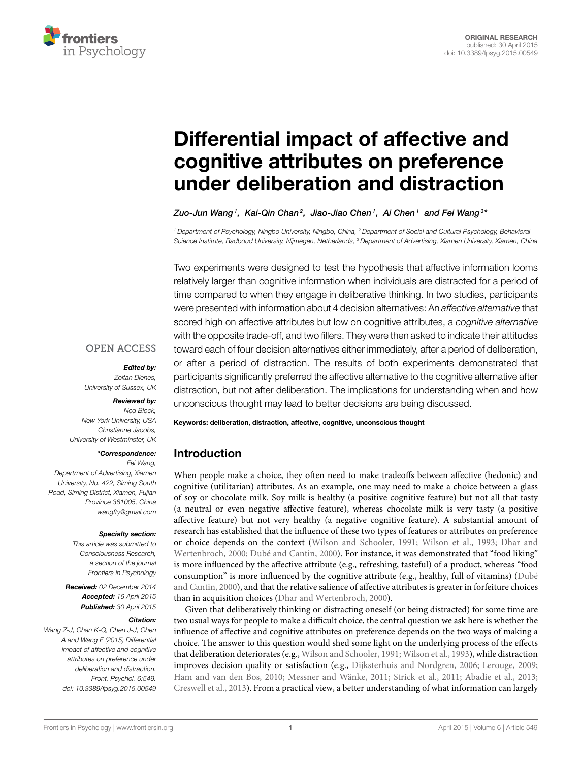

# Differential impact of affective and [cognitive attributes on preference](http://journal.frontiersin.org/article/10.3389/fpsyg.2015.00549/abstract) under deliberation and distraction

[Zuo-Jun Wang](http://community.frontiersin.org/people/u/193094) $^{\textrm{\text{1}}}$ , Kai-Qin Chan $^{\textrm{\text{2}}}$ , Jiao-Jiao Chen $^{\textrm{\text{1}}}$ , Ai Chen $^{\textrm{\text{1}}}$  and [Fei Wang](http://community.frontiersin.org/people/u/177794) $^{\textrm{\text{3}}}$ 

*<sup>1</sup> Department of Psychology, Ningbo University, Ningbo, China, <sup>2</sup> Department of Social and Cultural Psychology, Behavioral Science Institute, Radboud University, Nijmegen, Netherlands, <sup>3</sup> Department of Advertising, Xiamen University, Xiamen, China*

Two experiments were designed to test the hypothesis that affective information looms relatively larger than cognitive information when individuals are distracted for a period of time compared to when they engage in deliberative thinking. In two studies, participants were presented with information about 4 decision alternatives: An *affective alternative* that scored high on affective attributes but low on cognitive attributes, a *cognitive alternative* with the opposite trade-off, and two fillers. They were then asked to indicate their attitudes toward each of four decision alternatives either immediately, after a period of deliberation, or after a period of distraction. The results of both experiments demonstrated that participants significantly preferred the affective alternative to the cognitive alternative after distraction, but not after deliberation. The implications for understanding when and how unconscious thought may lead to better decisions are being discussed.

### **OPEN ACCESS**

### Edited by:

*Zoltan Dienes, University of Sussex, UK*

### Reviewed by:

*Ned Block, New York University, USA Christianne Jacobs, University of Westminster, UK*

### \*Correspondence:

*Fei Wang, Department of Advertising, Xiamen University, No. 422, Siming South Road, Siming District, Xiamen, Fujian Province 361005, China [wangfty@gmail.com](mailto:wangfty@gmail.com)*

### Specialty section:

*This article was submitted to Consciousness Research, a section of the journal Frontiers in Psychology*

Received: *02 December 2014* Accepted: *16 April 2015* Published: *30 April 2015*

### Citation:

*Wang Z-J, Chan K-Q, Chen J-J, Chen A and Wang F (2015) Differential impact of affective and cognitive attributes on preference under deliberation and distraction. Front. Psychol. 6:549. doi: [10.3389/fpsyg.2015.00549](http://dx.doi.org/10.3389/fpsyg.2015.00549)* Keywords: deliberation, distraction, affective, cognitive, unconscious thought

# Introduction

When people make a choice, they often need to make tradeoffs between affective (hedonic) and cognitive (utilitarian) attributes. As an example, one may need to make a choice between a glass of soy or chocolate milk. Soy milk is healthy (a positive cognitive feature) but not all that tasty (a neutral or even negative affective feature), whereas chocolate milk is very tasty (a positive affective feature) but not very healthy (a negative cognitive feature). A substantial amount of research has established that the influence of these two types of features or attributes on preference or choice depends on the context [\(Wilson and Schooler, 1991;](#page-6-0) [Wilson et al., 1993;](#page-6-1) Dhar and Wertenbroch, [2000;](#page-5-0) [Dubé and Cantin, 2000\)](#page-6-2). For instance, it was demonstrated that "food liking" is more influenced by the affective attribute (e.g., refreshing, tasteful) of a product, whereas "food consumption" is more influenced by the cognitive attribute (e.g., healthy, full of vitamins) (Dubé and Cantin, [2000\)](#page-6-2), and that the relative salience of affective attributes is greater in forfeiture choices than in acquisition choices [\(Dhar and Wertenbroch, 2000\)](#page-5-0).

Given that deliberatively thinking or distracting oneself (or being distracted) for some time are two usual ways for people to make a difficult choice, the central question we ask here is whether the influence of affective and cognitive attributes on preference depends on the two ways of making a choice. The answer to this question would shed some light on the underlying process of the effects that deliberation deteriorates (e.g., [Wilson and Schooler, 1991;](#page-6-0) [Wilson et al., 1993\)](#page-6-1), while distraction improves decision quality or satisfaction (e.g., [Dijksterhuis and Nordgren, 2006;](#page-6-3) [Lerouge, 2009;](#page-6-4) [Ham and van den Bos, 2010;](#page-6-5) [Messner and Wänke, 2011;](#page-6-6) [Strick et al., 2011;](#page-6-7) [Abadie et al., 2013;](#page-5-1) [Creswell et al., 2013\)](#page-5-2). From a practical view, a better understanding of what information can largely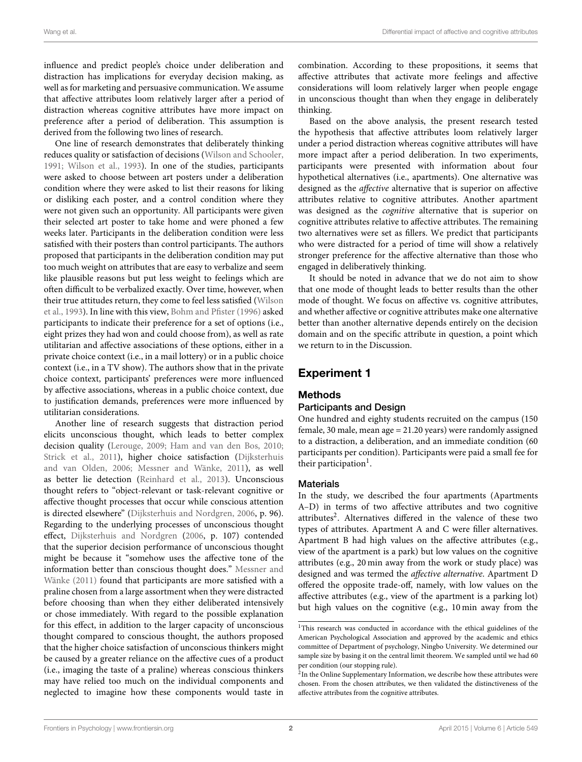influence and predict people's choice under deliberation and distraction has implications for everyday decision making, as well as for marketing and persuasive communication. We assume that affective attributes loom relatively larger after a period of distraction whereas cognitive attributes have more impact on preference after a period of deliberation. This assumption is derived from the following two lines of research.

One line of research demonstrates that deliberately thinking reduces quality or satisfaction of decisions [\(Wilson and Schooler,](#page-6-0) [1991;](#page-6-0) [Wilson et al., 1993\)](#page-6-1). In one of the studies, participants were asked to choose between art posters under a deliberation condition where they were asked to list their reasons for liking or disliking each poster, and a control condition where they were not given such an opportunity. All participants were given their selected art poster to take home and were phoned a few weeks later. Participants in the deliberation condition were less satisfied with their posters than control participants. The authors proposed that participants in the deliberation condition may put too much weight on attributes that are easy to verbalize and seem like plausible reasons but put less weight to feelings which are often difficult to be verbalized exactly. Over time, however, when their true attitudes return, they come to feel less satisfied (Wilson et al., [1993\)](#page-6-1). In line with this view, [Bohm and Pfister \(1996\)](#page-5-3) asked participants to indicate their preference for a set of options (i.e., eight prizes they had won and could choose from), as well as rate utilitarian and affective associations of these options, either in a private choice context (i.e., in a mail lottery) or in a public choice context (i.e., in a TV show). The authors show that in the private choice context, participants' preferences were more influenced by affective associations, whereas in a public choice context, due to justification demands, preferences were more influenced by utilitarian considerations.

Another line of research suggests that distraction period elicits unconscious thought, which leads to better complex decision quality [\(Lerouge, 2009;](#page-6-4) [Ham and van den Bos, 2010;](#page-6-5) [Strick et al., 2011\)](#page-6-7), higher choice satisfaction (Dijksterhuis and van Olden, [2006;](#page-6-8) [Messner and Wänke, 2011\)](#page-6-6), as well as better lie detection [\(Reinhard et al., 2013\)](#page-6-9). Unconscious thought refers to "object-relevant or task-relevant cognitive or affective thought processes that occur while conscious attention is directed elsewhere" [\(Dijksterhuis and Nordgren, 2006,](#page-6-3) p. 96). Regarding to the underlying processes of unconscious thought effect, [Dijksterhuis and Nordgren](#page-6-3) [\(2006,](#page-6-3) p. 107) contended that the superior decision performance of unconscious thought might be because it "somehow uses the affective tone of the information better than conscious thought does." Messner and Wänke [\(2011\)](#page-6-6) found that participants are more satisfied with a praline chosen from a large assortment when they were distracted before choosing than when they either deliberated intensively or chose immediately. With regard to the possible explanation for this effect, in addition to the larger capacity of unconscious thought compared to conscious thought, the authors proposed that the higher choice satisfaction of unconscious thinkers might be caused by a greater reliance on the affective cues of a product (i.e., imaging the taste of a praline) whereas conscious thinkers may have relied too much on the individual components and neglected to imagine how these components would taste in combination. According to these propositions, it seems that affective attributes that activate more feelings and affective considerations will loom relatively larger when people engage in unconscious thought than when they engage in deliberately thinking.

Based on the above analysis, the present research tested the hypothesis that affective attributes loom relatively larger under a period distraction whereas cognitive attributes will have more impact after a period deliberation. In two experiments, participants were presented with information about four hypothetical alternatives (i.e., apartments). One alternative was designed as the affective alternative that is superior on affective attributes relative to cognitive attributes. Another apartment was designed as the cognitive alternative that is superior on cognitive attributes relative to affective attributes. The remaining two alternatives were set as fillers. We predict that participants who were distracted for a period of time will show a relatively stronger preference for the affective alternative than those who engaged in deliberatively thinking.

It should be noted in advance that we do not aim to show that one mode of thought leads to better results than the other mode of thought. We focus on affective vs. cognitive attributes, and whether affective or cognitive attributes make one alternative better than another alternative depends entirely on the decision domain and on the specific attribute in question, a point which we return to in the Discussion.

# Experiment 1

# Methods

### Participants and Design

One hundred and eighty students recruited on the campus (150 female, 30 male, mean age = 21.20 years) were randomly assigned to a distraction, a deliberation, and an immediate condition (60 participants per condition). Participants were paid a small fee for their participation<sup>[1](#page-1-0)</sup>.

### **Materials**

In the study, we described the four apartments (Apartments A–D) in terms of two affective attributes and two cognitive attributes<sup>[2](#page-1-1)</sup>. Alternatives differed in the valence of these two types of attributes. Apartment A and C were filler alternatives. Apartment B had high values on the affective attributes (e.g., view of the apartment is a park) but low values on the cognitive attributes (e.g., 20 min away from the work or study place) was designed and was termed the affective alternative. Apartment D offered the opposite trade-off, namely, with low values on the affective attributes (e.g., view of the apartment is a parking lot) but high values on the cognitive (e.g., 10 min away from the

<span id="page-1-0"></span><sup>&</sup>lt;sup>1</sup>This research was conducted in accordance with the ethical guidelines of the American Psychological Association and approved by the academic and ethics committee of Department of psychology, Ningbo University. We determined our sample size by basing it on the central limit theorem. We sampled until we had 60 per condition (our stopping rule).

<span id="page-1-1"></span><sup>&</sup>lt;sup>2</sup>In the Online Supplementary Information, we describe how these attributes were chosen. From the chosen attributes, we then validated the distinctiveness of the affective attributes from the cognitive attributes.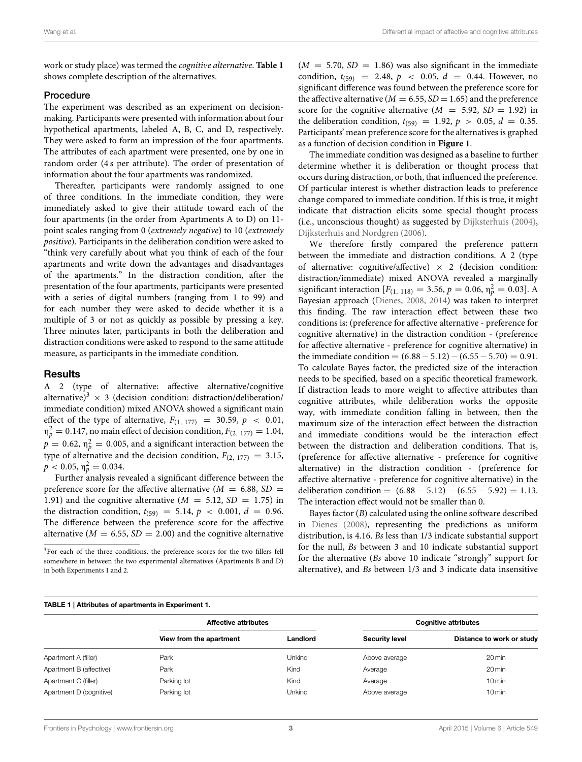work or study place) was termed the cognitive alternative. **[Table 1](#page-2-0)** shows complete description of the alternatives.

### Procedure

The experiment was described as an experiment on decisionmaking. Participants were presented with information about four hypothetical apartments, labeled A, B, C, and D, respectively. They were asked to form an impression of the four apartments. The attributes of each apartment were presented, one by one in random order (4 s per attribute). The order of presentation of information about the four apartments was randomized.

Thereafter, participants were randomly assigned to one of three conditions. In the immediate condition, they were immediately asked to give their attitude toward each of the four apartments (in the order from Apartments A to D) on 11 point scales ranging from 0 (extremely negative) to 10 (extremely positive). Participants in the deliberation condition were asked to "think very carefully about what you think of each of the four apartments and write down the advantages and disadvantages of the apartments." In the distraction condition, after the presentation of the four apartments, participants were presented with a series of digital numbers (ranging from 1 to 99) and for each number they were asked to decide whether it is a multiple of 3 or not as quickly as possible by pressing a key. Three minutes later, participants in both the deliberation and distraction conditions were asked to respond to the same attitude measure, as participants in the immediate condition.

### Results

A 2 (type of alternative: affective alternative/cognitive alternative)<sup>[3](#page-2-1)</sup>  $\times$  3 (decision condition: distraction/deliberation/ immediate condition) mixed ANOVA showed a significant main effect of the type of alternative,  $F_{(1, 177)} = 30.59$ ,  $p < 0.01$ ,  $n_p^2 = 0.147$ , no main effect of decision condition,  $F_{(2, 177)} = 1.04$ ,  $p = 0.62$ ,  $\eta_p^2 = 0.005$ , and a significant interaction between the type of alternative and the decision condition,  $F_{(2, 177)} = 3.15$ ,  $p < 0.05$ ,  $\eta_p^2 = 0.034$ .

Further analysis revealed a significant difference between the preference score for the affective alternative  $(M = 6.88, SD =$ 1.91) and the cognitive alternative  $(M = 5.12, SD = 1.75)$  in the distraction condition,  $t_{(59)} = 5.14$ ,  $p < 0.001$ ,  $d = 0.96$ . The difference between the preference score for the affective alternative ( $M = 6.55$ ,  $SD = 2.00$ ) and the cognitive alternative  $(M = 5.70, SD = 1.86)$  was also significant in the immediate condition,  $t_{(59)} = 2.48$ ,  $p < 0.05$ ,  $d = 0.44$ . However, no significant difference was found between the preference score for the affective alternative ( $M = 6.55$ ,  $SD = 1.65$ ) and the preference score for the cognitive alternative  $(M = 5.92, SD = 1.92)$  in the deliberation condition,  $t_{(59)} = 1.92$ ,  $p > 0.05$ ,  $d = 0.35$ . Participants' mean preference score for the alternatives is graphed as a function of decision condition in **[Figure 1](#page-3-0)**.

The immediate condition was designed as a baseline to further determine whether it is deliberation or thought process that occurs during distraction, or both, that influenced the preference. Of particular interest is whether distraction leads to preference change compared to immediate condition. If this is true, it might indicate that distraction elicits some special thought process (i.e., unconscious thought) as suggested by [Dijksterhuis \(2004\)](#page-5-4), [Dijksterhuis and Nordgren \(2006\)](#page-6-3).

We therefore firstly compared the preference pattern between the immediate and distraction conditions. A 2 (type of alternative: cognitive/affective)  $\times$  2 (decision condition: distraction/immediate) mixed ANOVA revealed a marginally significant interaction  $[F_{(1, 118)} = 3.56, p = 0.06, \eta_p^2 = 0.03]$ . A Bayesian approach [\(Dienes, 2008,](#page-5-5) [2014\)](#page-5-6) was taken to interpret this finding. The raw interaction effect between these two conditions is: (preference for affective alternative - preference for cognitive alternative) in the distraction condition - (preference for affective alternative - preference for cognitive alternative) in the immediate condition =  $(6.88 – 5.12) – (6.55 – 5.70) = 0.91$ . To calculate Bayes factor, the predicted size of the interaction needs to be specified, based on a specific theoretical framework. If distraction leads to more weight to affective attributes than cognitive attributes, while deliberation works the opposite way, with immediate condition falling in between, then the maximum size of the interaction effect between the distraction and immediate conditions would be the interaction effect between the distraction and deliberation conditions. That is, (preference for affective alternative - preference for cognitive alternative) in the distraction condition - (preference for affective alternative - preference for cognitive alternative) in the deliberation condition =  $(6.88 - 5.12) - (6.55 - 5.92) = 1.13$ . The interaction effect would not be smaller than 0.

Bayes factor (B) calculated using the online software described in [Dienes \(2008\)](#page-5-5), representing the predictions as uniform distribution, is 4.16. Bs less than 1/3 indicate substantial support for the null, Bs between 3 and 10 indicate substantial support for the alternative (Bs above 10 indicate "strongly" support for alternative), and Bs between 1/3 and 3 indicate data insensitive

<span id="page-2-0"></span>

| TABLE 1   Attributes of apartments in Experiment 1. |                             |          |                             |                           |  |  |  |  |
|-----------------------------------------------------|-----------------------------|----------|-----------------------------|---------------------------|--|--|--|--|
|                                                     | <b>Affective attributes</b> |          | <b>Cognitive attributes</b> |                           |  |  |  |  |
|                                                     | View from the apartment     | Landlord | <b>Security level</b>       | Distance to work or study |  |  |  |  |
| Apartment A (filler)                                | Park                        | Unkind   | Above average               | $20 \,\mathrm{min}$       |  |  |  |  |
| Apartment B (affective)                             | Park                        | Kind     | Average                     | $20 \,\mathrm{min}$       |  |  |  |  |
| Apartment C (filler)                                | Parking lot                 | Kind     | Average                     | $10 \text{min}$           |  |  |  |  |
| Apartment D (cognitive)                             | Parking lot                 | Unkind   | Above average               | $10 \,\mathrm{min}$       |  |  |  |  |

<span id="page-2-1"></span><sup>&</sup>lt;sup>3</sup>For each of the three conditions, the preference scores for the two fillers fell somewhere in between the two experimental alternatives (Apartments B and D) in both Experiments 1 and 2.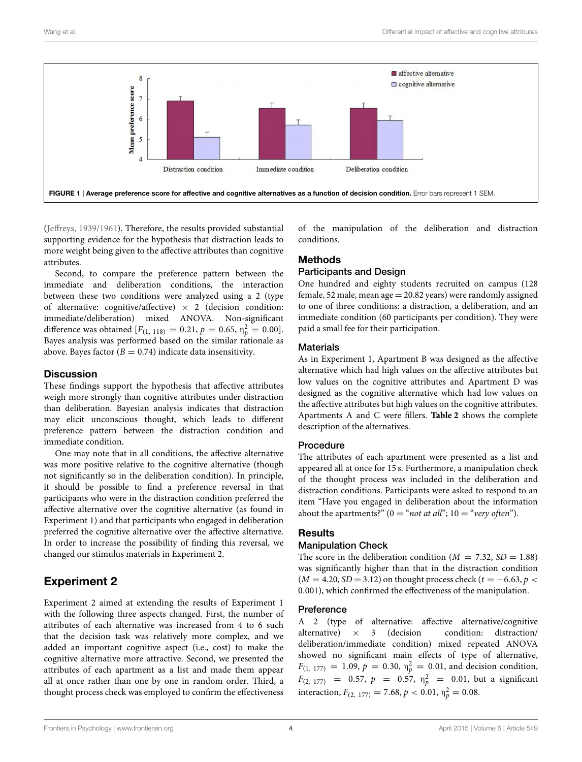

<span id="page-3-0"></span>[\(Jeffreys, 1939/1961\)](#page-6-10). Therefore, the results provided substantial supporting evidence for the hypothesis that distraction leads to more weight being given to the affective attributes than cognitive attributes.

Second, to compare the preference pattern between the immediate and deliberation conditions, the interaction between these two conditions were analyzed using a 2 (type of alternative: cognitive/affective)  $\times$  2 (decision condition: immediate/deliberation) mixed ANOVA. Non-significant difference was obtained  $[F_{(1, 118)} = 0.21, p = 0.65, \eta_p^2 = 0.00].$ Bayes analysis was performed based on the similar rationale as above. Bayes factor ( $B = 0.74$ ) indicate data insensitivity.

### **Discussion**

These findings support the hypothesis that affective attributes weigh more strongly than cognitive attributes under distraction than deliberation. Bayesian analysis indicates that distraction may elicit unconscious thought, which leads to different preference pattern between the distraction condition and immediate condition.

One may note that in all conditions, the affective alternative was more positive relative to the cognitive alternative (though not significantly so in the deliberation condition). In principle, it should be possible to find a preference reversal in that participants who were in the distraction condition preferred the affective alternative over the cognitive alternative (as found in Experiment 1) and that participants who engaged in deliberation preferred the cognitive alternative over the affective alternative. In order to increase the possibility of finding this reversal, we changed our stimulus materials in Experiment 2.

# Experiment 2

Experiment 2 aimed at extending the results of Experiment 1 with the following three aspects changed. First, the number of attributes of each alternative was increased from 4 to 6 such that the decision task was relatively more complex, and we added an important cognitive aspect (i.e., cost) to make the cognitive alternative more attractive. Second, we presented the attributes of each apartment as a list and made them appear all at once rather than one by one in random order. Third, a thought process check was employed to confirm the effectiveness of the manipulation of the deliberation and distraction conditions.

### Methods

### Participants and Design

One hundred and eighty students recruited on campus (128 female, 52 male, mean  $age = 20.82$  years) were randomly assigned to one of three conditions: a distraction, a deliberation, and an immediate condition (60 participants per condition). They were paid a small fee for their participation.

### **Materials**

As in Experiment 1, Apartment B was designed as the affective alternative which had high values on the affective attributes but low values on the cognitive attributes and Apartment D was designed as the cognitive alternative which had low values on the affective attributes but high values on the cognitive attributes. Apartments A and C were fillers. **[Table 2](#page-4-0)** shows the complete description of the alternatives.

### Procedure

The attributes of each apartment were presented as a list and appeared all at once for 15 s. Furthermore, a manipulation check of the thought process was included in the deliberation and distraction conditions. Participants were asked to respond to an item "Have you engaged in deliberation about the information about the apartments?" ( $0 = "not at all"$ ;  $10 = "very often"$ ).

### **Results**

### Manipulation Check

The score in the deliberation condition ( $M = 7.32$ ,  $SD = 1.88$ ) was significantly higher than that in the distraction condition  $(M = 4.20, SD = 3.12)$  on thought process check  $(t = -6.63, p <$ 0.001), which confirmed the effectiveness of the manipulation.

### Preference

A 2 (type of alternative: affective alternative/cognitive alternative)  $\times$  3 (decision condition: distraction/ deliberation/immediate condition) mixed repeated ANOVA showed no significant main effects of type of alternative,  $F_{(1, 177)} = 1.09, p = 0.30, \eta_p^2 = 0.01$ , and decision condition,  $F_{(2, 177)} = 0.57, p = 0.57, \eta_p^2 = 0.01$ , but a significant interaction,  $F_{(2, 177)} = 7.68, p < 0.01, \eta_p^2 = 0.08$ .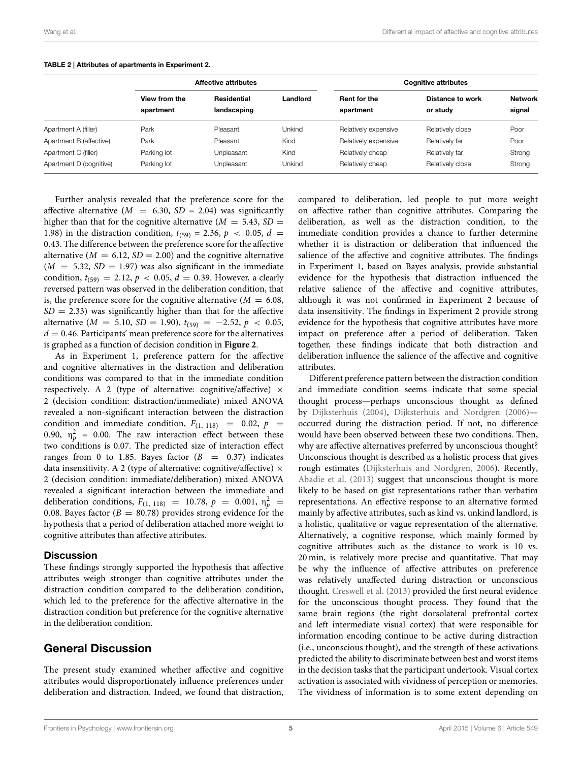|                         | <b>Affective attributes</b> |                            |          | <b>Cognitive attributes</b> |                                     |                          |
|-------------------------|-----------------------------|----------------------------|----------|-----------------------------|-------------------------------------|--------------------------|
|                         | View from the<br>apartment  | Residential<br>landscaping | Landlord | Rent for the<br>apartment   | <b>Distance to work</b><br>or study | <b>Network</b><br>signal |
| Apartment A (filler)    | Park                        | Pleasant                   | Unkind   | Relatively expensive        | Relatively close                    | Poor                     |
| Apartment B (affective) | Park                        | Pleasant                   | Kind     | Relatively expensive        | Relatively far                      | Poor                     |
| Apartment C (filler)    | Parking lot                 | Unpleasant                 | Kind     | Relatively cheap            | Relatively far                      | Strong                   |
| Apartment D (cognitive) | Parking lot                 | Unpleasant                 | Unkind   | Relatively cheap            | Relatively close                    | Strong                   |

#### <span id="page-4-0"></span>TABLE 2 | Attributes of apartments in Experiment 2.

Further analysis revealed that the preference score for the affective alternative  $(M = 6.30, SD = 2.04)$  was significantly higher than that for the cognitive alternative ( $M = 5.43$ ,  $SD =$ 1.98) in the distraction condition,  $t_{(59)} = 2.36$ ,  $p \le 0.05$ ,  $d =$ 0.43. The difference between the preference score for the affective alternative ( $M = 6.12$ ,  $SD = 2.00$ ) and the cognitive alternative  $(M = 5.32, SD = 1.97)$  was also significant in the immediate condition,  $t_{(59)} = 2.12$ ,  $p < 0.05$ ,  $d = 0.39$ . However, a clearly reversed pattern was observed in the deliberation condition, that is, the preference score for the cognitive alternative ( $M = 6.08$ ,  $SD = 2.33$ ) was significantly higher than that for the affective alternative ( $M = 5.10$ ,  $SD = 1.90$ ),  $t_{(59)} = -2.52$ ,  $p < 0.05$ ,  $d = 0.46$ . Participants' mean preference score for the alternatives is graphed as a function of decision condition in **[Figure 2](#page-5-7)**.

As in Experiment 1, preference pattern for the affective and cognitive alternatives in the distraction and deliberation conditions was compared to that in the immediate condition respectively. A 2 (type of alternative: cognitive/affective)  $\times$ 2 (decision condition: distraction/immediate) mixed ANOVA revealed a non-significant interaction between the distraction condition and immediate condition,  $F_{(1, 118)} = 0.02$ ,  $p =$ 0.90,  $\eta_p^2$  = 0.00. The raw interaction effect between these two conditions is 0.07. The predicted size of interaction effect ranges from 0 to 1.85. Bayes factor  $(B = 0.37)$  indicates data insensitivity. A 2 (type of alternative: cognitive/affective)  $\times$ 2 (decision condition: immediate/deliberation) mixed ANOVA revealed a significant interaction between the immediate and deliberation conditions,  $F_{(1, 118)} = 10.78, p = 0.001, \eta_p^2 =$ 0.08. Bayes factor ( $B = 80.78$ ) provides strong evidence for the hypothesis that a period of deliberation attached more weight to cognitive attributes than affective attributes.

### **Discussion**

These findings strongly supported the hypothesis that affective attributes weigh stronger than cognitive attributes under the distraction condition compared to the deliberation condition, which led to the preference for the affective alternative in the distraction condition but preference for the cognitive alternative in the deliberation condition.

# General Discussion

The present study examined whether affective and cognitive attributes would disproportionately influence preferences under deliberation and distraction. Indeed, we found that distraction,

compared to deliberation, led people to put more weight on affective rather than cognitive attributes. Comparing the deliberation, as well as the distraction condition, to the immediate condition provides a chance to further determine whether it is distraction or deliberation that influenced the salience of the affective and cognitive attributes. The findings in Experiment 1, based on Bayes analysis, provide substantial evidence for the hypothesis that distraction influenced the relative salience of the affective and cognitive attributes, although it was not confirmed in Experiment 2 because of data insensitivity. The findings in Experiment 2 provide strong evidence for the hypothesis that cognitive attributes have more impact on preference after a period of deliberation. Taken together, these findings indicate that both distraction and deliberation influence the salience of the affective and cognitive attributes.

Different preference pattern between the distraction condition and immediate condition seems indicate that some special thought process—perhaps unconscious thought as defined by [Dijksterhuis \(2004\)](#page-5-4), [Dijksterhuis and Nordgren \(2006\)](#page-6-3) occurred during the distraction period. If not, no difference would have been observed between these two conditions. Then, why are affective alternatives preferred by unconscious thought? Unconscious thought is described as a holistic process that gives rough estimates [\(Dijksterhuis and Nordgren, 2006\)](#page-6-3). Recently, [Abadie et al. \(2013\)](#page-5-1) suggest that unconscious thought is more likely to be based on gist representations rather than verbatim representations. An effective response to an alternative formed mainly by affective attributes, such as kind vs. unkind landlord, is a holistic, qualitative or vague representation of the alternative. Alternatively, a cognitive response, which mainly formed by cognitive attributes such as the distance to work is 10 vs. 20 min, is relatively more precise and quantitative. That may be why the influence of affective attributes on preference was relatively unaffected during distraction or unconscious thought. [Creswell et al. \(2013\)](#page-5-2) provided the first neural evidence for the unconscious thought process. They found that the same brain regions (the right dorsolateral prefrontal cortex and left intermediate visual cortex) that were responsible for information encoding continue to be active during distraction (i.e., unconscious thought), and the strength of these activations predicted the ability to discriminate between best and worst items in the decision tasks that the participant undertook. Visual cortex activation is associated with vividness of perception or memories. The vividness of information is to some extent depending on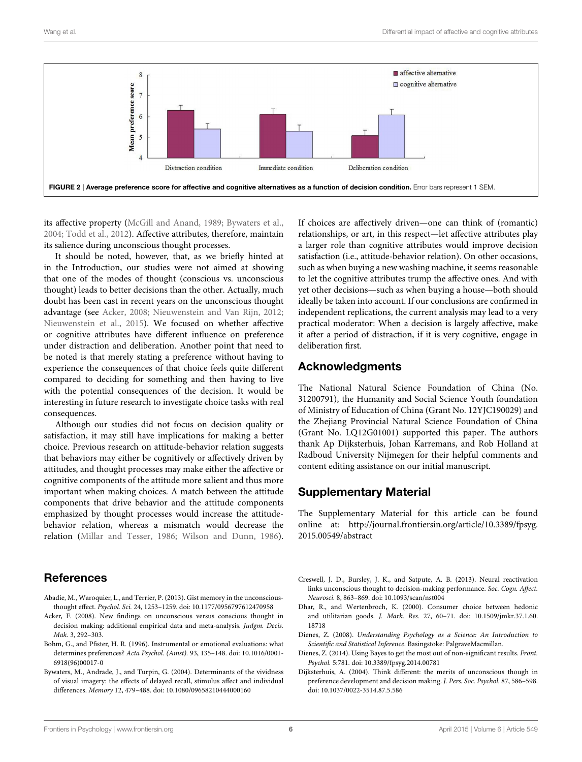

<span id="page-5-7"></span>its affective property [\(McGill and Anand, 1989;](#page-6-11) [Bywaters et al.,](#page-5-8) [2004;](#page-5-8) [Todd et al., 2012\)](#page-6-12). Affective attributes, therefore, maintain its salience during unconscious thought processes.

It should be noted, however, that, as we briefly hinted at in the Introduction, our studies were not aimed at showing that one of the modes of thought (conscious vs. unconscious thought) leads to better decisions than the other. Actually, much doubt has been cast in recent years on the unconscious thought advantage (see [Acker, 2008;](#page-5-9) [Nieuwenstein and Van Rijn, 2012;](#page-6-13) [Nieuwenstein et al., 2015\)](#page-6-14). We focused on whether affective or cognitive attributes have different influence on preference under distraction and deliberation. Another point that need to be noted is that merely stating a preference without having to experience the consequences of that choice feels quite different compared to deciding for something and then having to live with the potential consequences of the decision. It would be interesting in future research to investigate choice tasks with real consequences.

Although our studies did not focus on decision quality or satisfaction, it may still have implications for making a better choice. Previous research on attitude-behavior relation suggests that behaviors may either be cognitively or affectively driven by attitudes, and thought processes may make either the affective or cognitive components of the attitude more salient and thus more important when making choices. A match between the attitude components that drive behavior and the attitude components emphasized by thought processes would increase the attitudebehavior relation, whereas a mismatch would decrease the relation [\(Millar and Tesser, 1986;](#page-6-15) [Wilson and Dunn, 1986\)](#page-6-16).

# **References**

- <span id="page-5-1"></span>Abadie, M., Waroquier, L., and Terrier, P. (2013). Gist memory in the unconsciousthought effect. Psychol. Sci. 24, 1253–1259. doi: 10.1177/0956797612470958
- <span id="page-5-9"></span>Acker, F. (2008). New findings on unconscious versus conscious thought in decision making: additional empirical data and meta-analysis. Judgm. Decis. Mak. 3, 292–303.
- <span id="page-5-3"></span>Bohm, G., and Pfister, H. R. (1996). Instrumental or emotional evaluations: what determines preferences? Acta Psychol. (Amst). 93, 135–148. doi: 10.1016/0001- 6918(96)00017-0
- <span id="page-5-8"></span>Bywaters, M., Andrade, J., and Turpin, G. (2004). Determinants of the vividness of visual imagery: the effects of delayed recall, stimulus affect and individual differences. Memory 12, 479–488. doi: 10.1080/09658210444000160

If choices are affectively driven—one can think of (romantic) relationships, or art, in this respect—let affective attributes play a larger role than cognitive attributes would improve decision satisfaction (i.e., attitude-behavior relation). On other occasions, such as when buying a new washing machine, it seems reasonable to let the cognitive attributes trump the affective ones. And with yet other decisions—such as when buying a house—both should ideally be taken into account. If our conclusions are confirmed in independent replications, the current analysis may lead to a very practical moderator: When a decision is largely affective, make it after a period of distraction, if it is very cognitive, engage in deliberation first.

# Acknowledgments

The National Natural Science Foundation of China (No. 31200791), the Humanity and Social Science Youth foundation of Ministry of Education of China (Grant No. 12YJC190029) and the Zhejiang Provincial Natural Science Foundation of China (Grant No. LQ12G01001) supported this paper. The authors thank Ap Dijksterhuis, Johan Karremans, and Rob Holland at Radboud University Nijmegen for their helpful comments and content editing assistance on our initial manuscript.

# Supplementary Material

The Supplementary Material for this article can be found online at: [http://journal.frontiersin.org/article/10.3389/fpsyg.](http://journal.frontiersin.org/article/10.3389/fpsyg.2015.00549/abstract) [2015.00549/abstract](http://journal.frontiersin.org/article/10.3389/fpsyg.2015.00549/abstract)

- <span id="page-5-2"></span>Creswell, J. D., Bursley, J. K., and Satpute, A. B. (2013). Neural reactivation links unconscious thought to decision-making performance. Soc. Cogn. Affect. Neurosci. 8, 863–869. doi: 10.1093/scan/nst004
- <span id="page-5-0"></span>Dhar, R., and Wertenbroch, K. (2000). Consumer choice between hedonic and utilitarian goods. J. Mark. Res. 27, 60–71. doi: 10.1509/jmkr.37.1.60. 18718
- <span id="page-5-5"></span>Dienes, Z. (2008). Understanding Psychology as a Science: An Introduction to Scientific and Statistical Inference. Basingstoke: PalgraveMacmillan.
- <span id="page-5-6"></span>Dienes, Z. (2014). Using Bayes to get the most out of non-significant results. Front. Psychol. 5:781. doi: 10.3389/fpsyg.2014.00781
- <span id="page-5-4"></span>Dijksterhuis, A. (2004). Think different: the merits of unconscious though in preference development and decision making. J. Pers. Soc. Psychol. 87, 586–598. doi: 10.1037/0022-3514.87.5.586